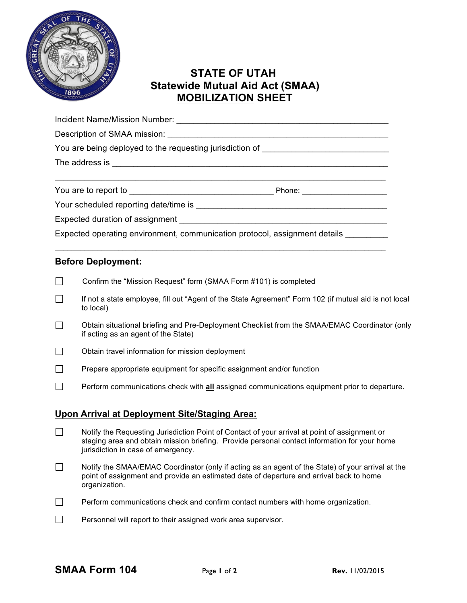

## **STATE OF UTAH Statewide Mutual Aid Act (SMAA) MOBILIZATION SHEET**

| Expected operating environment, communication protocol, assignment details ______ |  |  |  |  |  |
|-----------------------------------------------------------------------------------|--|--|--|--|--|
|                                                                                   |  |  |  |  |  |

## **Before Deployment:**

- $\Box$ Confirm the "Mission Request" form (SMAA Form #101) is completed
- $\Box$ If not a state employee, fill out "Agent of the State Agreement" Form 102 (if mutual aid is not local to local)
- Obtain situational briefing and Pre-Deployment Checklist from the SMAA/EMAC Coordinator (only П if acting as an agent of the State)
- $\Box$ Obtain travel information for mission deployment
- $\Box$ Prepare appropriate equipment for specific assignment and/or function
- $\Box$ Perform communications check with **all** assigned communications equipment prior to departure.

## **Upon Arrival at Deployment Site/Staging Area:**

- $\mathcal{L}_{\mathcal{A}}$ Notify the Requesting Jurisdiction Point of Contact of your arrival at point of assignment or staging area and obtain mission briefing. Provide personal contact information for your home jurisdiction in case of emergency.
- $\Box$ Notify the SMAA/EMAC Coordinator (only if acting as an agent of the State) of your arrival at the point of assignment and provide an estimated date of departure and arrival back to home organization.
- $\Box$ Perform communications check and confirm contact numbers with home organization.
- $\Box$ Personnel will report to their assigned work area supervisor.